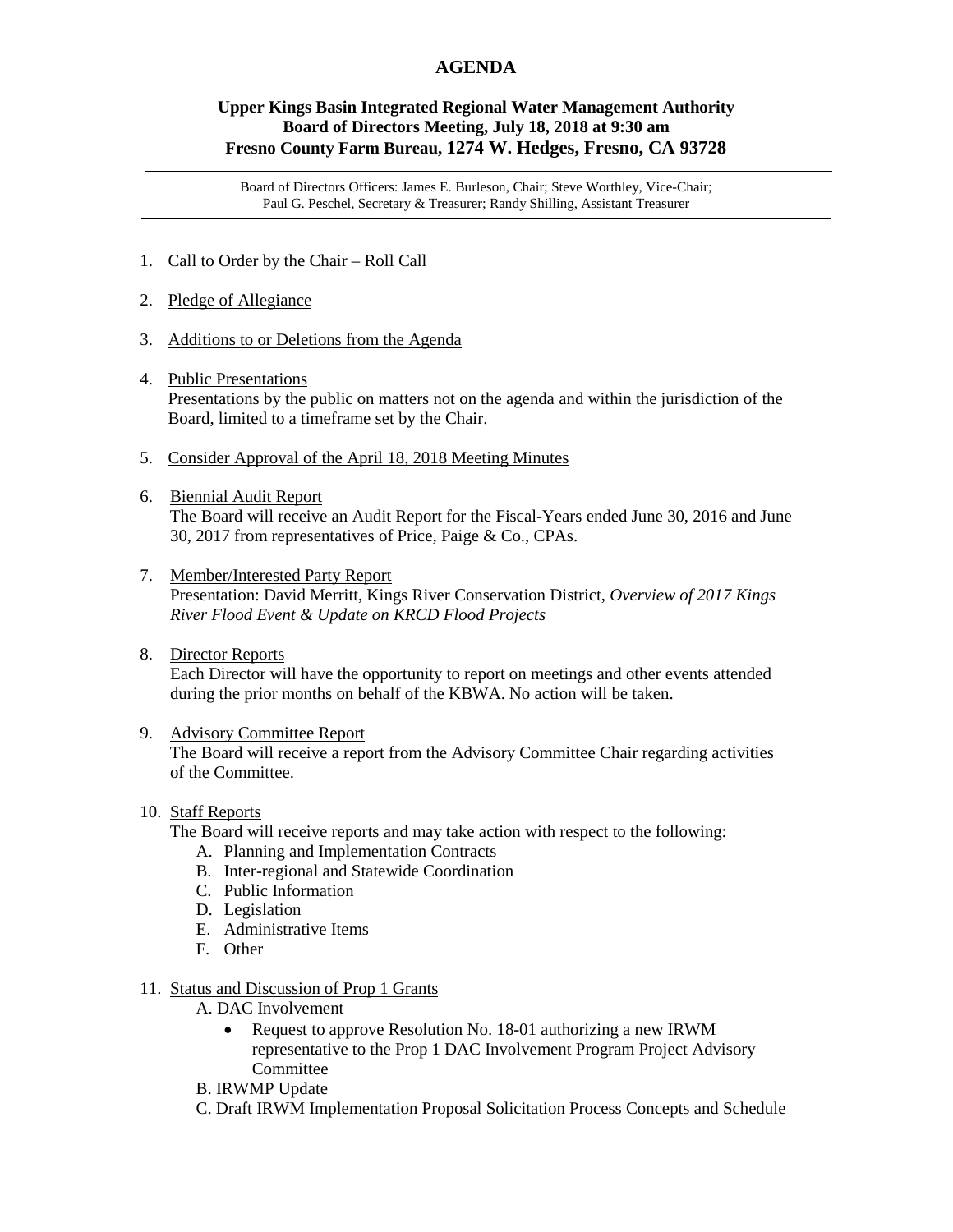## **AGENDA**

## **Upper Kings Basin Integrated Regional Water Management Authority Board of Directors Meeting, July 18, 2018 at 9:30 am Fresno County Farm Bureau, 1274 W. Hedges, Fresno, CA 93728**

Board of Directors Officers: James E. Burleson, Chair; Steve Worthley, Vice-Chair; Paul G. Peschel, Secretary & Treasurer; Randy Shilling, Assistant Treasurer

- 1. Call to Order by the Chair Roll Call
- 2. Pledge of Allegiance
- 3. Additions to or Deletions from the Agenda
- 4. Public Presentations Presentations by the public on matters not on the agenda and within the jurisdiction of the Board, limited to a timeframe set by the Chair.
- 5. Consider Approval of the April 18, 2018 Meeting Minutes
- 6. Biennial Audit Report The Board will receive an Audit Report for the Fiscal-Years ended June 30, 2016 and June 30, 2017 from representatives of Price, Paige & Co., CPAs.
- 7. Member/Interested Party Report Presentation: David Merritt, Kings River Conservation District, *Overview of 2017 Kings River Flood Event & Update on KRCD Flood Projects*
- 8. Director Reports

 Each Director will have the opportunity to report on meetings and other events attended during the prior months on behalf of the KBWA. No action will be taken.

9. Advisory Committee Report

 The Board will receive a report from the Advisory Committee Chair regarding activities of the Committee.

10. Staff Reports

The Board will receive reports and may take action with respect to the following:

- A. Planning and Implementation Contracts
- B. Inter-regional and Statewide Coordination
- C. Public Information
- D. Legislation
- E. Administrative Items
- F. Other

## 11. Status and Discussion of Prop 1 Grants

- A. DAC Involvement
	- Request to approve Resolution No. 18-01 authorizing a new IRWM representative to the Prop 1 DAC Involvement Program Project Advisory Committee
- B. IRWMP Update
- C. Draft IRWM Implementation Proposal Solicitation Process Concepts and Schedule